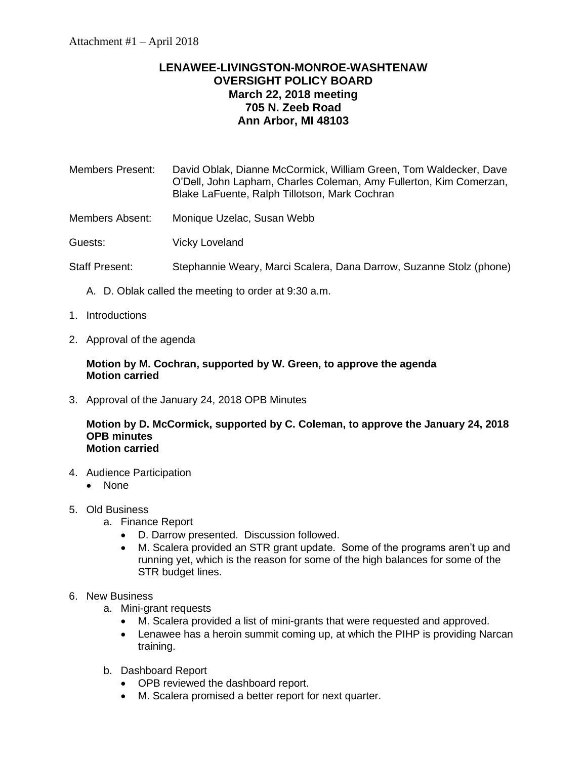## **LENAWEE-LIVINGSTON-MONROE-WASHTENAW OVERSIGHT POLICY BOARD March 22, 2018 meeting 705 N. Zeeb Road Ann Arbor, MI 48103**

Members Present: David Oblak, Dianne McCormick, William Green, Tom Waldecker, Dave O'Dell, John Lapham, Charles Coleman, Amy Fullerton, Kim Comerzan, Blake LaFuente, Ralph Tillotson, Mark Cochran

Members Absent: Monique Uzelac, Susan Webb

Guests: Vicky Loveland

- Staff Present: Stephannie Weary, Marci Scalera, Dana Darrow, Suzanne Stolz (phone)
	- A. D. Oblak called the meeting to order at 9:30 a.m.
- 1. Introductions
- 2. Approval of the agenda

## **Motion by M. Cochran, supported by W. Green, to approve the agenda Motion carried**

3. Approval of the January 24, 2018 OPB Minutes

## **Motion by D. McCormick, supported by C. Coleman, to approve the January 24, 2018 OPB minutes Motion carried**

- 4. Audience Participation
	- None
- 5. Old Business
	- a. Finance Report
		- D. Darrow presented. Discussion followed.
		- M. Scalera provided an STR grant update. Some of the programs aren't up and running yet, which is the reason for some of the high balances for some of the STR budget lines.
- 6. New Business
	- a. Mini-grant requests
		- M. Scalera provided a list of mini-grants that were requested and approved.
		- Lenawee has a heroin summit coming up, at which the PIHP is providing Narcan training.
	- b. Dashboard Report
		- OPB reviewed the dashboard report.
		- M. Scalera promised a better report for next quarter.